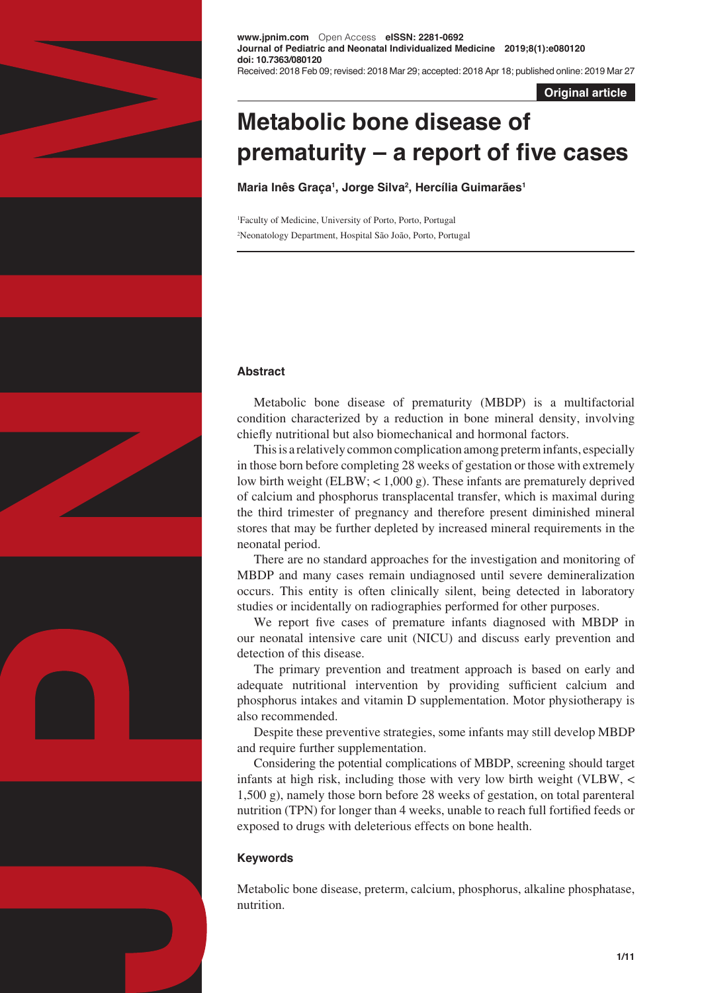

**www.jpnim.com** Open Access **eISSN: 2281-0692 Journal of Pediatric and Neonatal Individualized Medicine 2019;8(1):e080120 doi: 10.7363/080120** Received: 2018 Feb 09; revised: 2018 Mar 29; accepted: 2018 Apr 18; published online: 2019 Mar 27

**Original article**

# **Metabolic bone disease of prematurity – a report of five cases**

**Maria Inês Graça1 , Jorge Silva2 , Hercília Guimarães1**

1 Faculty of Medicine, University of Porto, Porto, Portugal 2 Neonatology Department, Hospital São João, Porto, Portugal

# **Abstract**

Metabolic bone disease of prematurity (MBDP) is a multifactorial condition characterized by a reduction in bone mineral density, involving chiefly nutritional but also biomechanical and hormonal factors.

This is a relatively common complication among preterm infants, especially in those born before completing 28 weeks of gestation or those with extremely low birth weight (ELBW; < 1,000 g). These infants are prematurely deprived of calcium and phosphorus transplacental transfer, which is maximal during the third trimester of pregnancy and therefore present diminished mineral stores that may be further depleted by increased mineral requirements in the neonatal period.

There are no standard approaches for the investigation and monitoring of MBDP and many cases remain undiagnosed until severe demineralization occurs. This entity is often clinically silent, being detected in laboratory studies or incidentally on radiographies performed for other purposes.

We report five cases of premature infants diagnosed with MBDP in our neonatal intensive care unit (NICU) and discuss early prevention and detection of this disease.

The primary prevention and treatment approach is based on early and adequate nutritional intervention by providing sufficient calcium and phosphorus intakes and vitamin D supplementation. Motor physiotherapy is also recommended.

Despite these preventive strategies, some infants may still develop MBDP and require further supplementation.

Considering the potential complications of MBDP, screening should target infants at high risk, including those with very low birth weight (VLBW, < 1,500 g), namely those born before 28 weeks of gestation, on total parenteral nutrition (TPN) for longer than 4 weeks, unable to reach full fortified feeds or exposed to drugs with deleterious effects on bone health.

# **Keywords**

Metabolic bone disease, preterm, calcium, phosphorus, alkaline phosphatase, nutrition.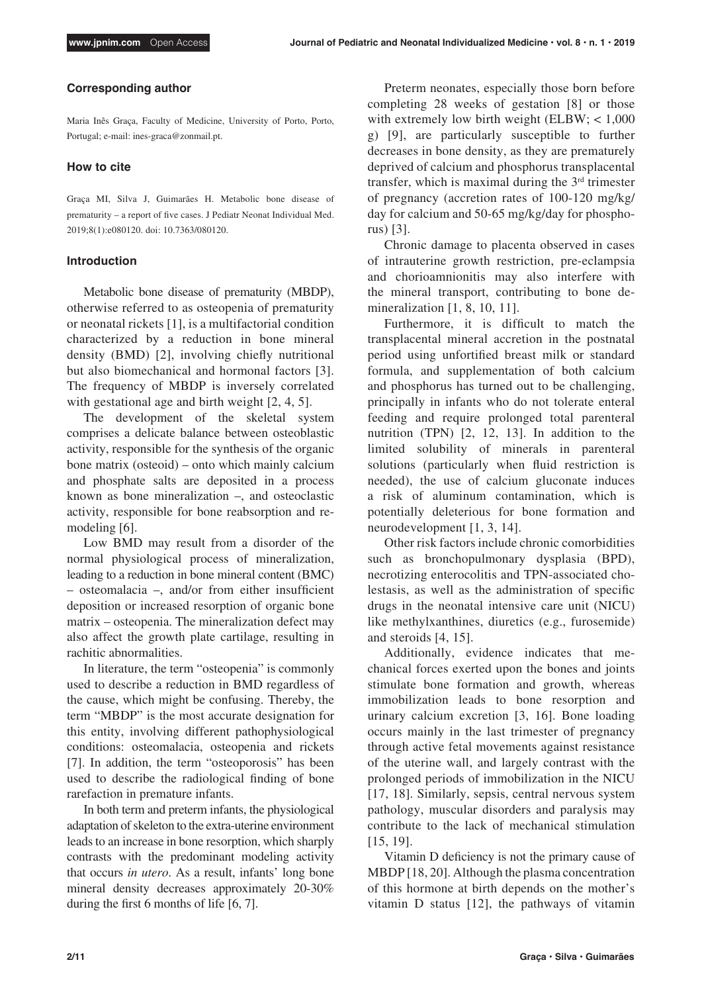#### **Corresponding author**

Maria Inês Graça, Faculty of Medicine, University of Porto, Porto, Portugal; e-mail: ines-graca@zonmail.pt.

#### **How to cite**

Graça MI, Silva J, Guimarães H. Metabolic bone disease of prematurity – a report of five cases. J Pediatr Neonat Individual Med. 2019;8(1):e080120. doi: 10.7363/080120.

#### **Introduction**

Metabolic bone disease of prematurity (MBDP), otherwise referred to as osteopenia of prematurity or neonatal rickets [1], is a multifactorial condition characterized by a reduction in bone mineral density (BMD) [2], involving chiefly nutritional but also biomechanical and hormonal factors [3]. The frequency of MBDP is inversely correlated with gestational age and birth weight [2, 4, 5].

The development of the skeletal system comprises a delicate balance between osteoblastic activity, responsible for the synthesis of the organic bone matrix (osteoid) – onto which mainly calcium and phosphate salts are deposited in a process known as bone mineralization –, and osteoclastic activity, responsible for bone reabsorption and remodeling [6].

Low BMD may result from a disorder of the normal physiological process of mineralization, leading to a reduction in bone mineral content (BMC) – osteomalacia –, and/or from either insufficient deposition or increased resorption of organic bone matrix – osteopenia. The mineralization defect may also affect the growth plate cartilage, resulting in rachitic abnormalities.

In literature, the term "osteopenia" is commonly used to describe a reduction in BMD regardless of the cause, which might be confusing. Thereby, the term "MBDP" is the most accurate designation for this entity, involving different pathophysiological conditions: osteomalacia, osteopenia and rickets [7]. In addition, the term "osteoporosis" has been used to describe the radiological finding of bone rarefaction in premature infants.

In both term and preterm infants, the physiological adaptation of skeleton to the extra-uterine environment leads to an increase in bone resorption, which sharply contrasts with the predominant modeling activity that occurs *in utero*. As a result, infants' long bone mineral density decreases approximately 20-30% during the first 6 months of life [6, 7].

Preterm neonates, especially those born before completing 28 weeks of gestation [8] or those with extremely low birth weight (ELBW; < 1,000 g) [9], are particularly susceptible to further decreases in bone density, as they are prematurely deprived of calcium and phosphorus transplacental transfer, which is maximal during the  $3<sup>rd</sup>$  trimester of pregnancy (accretion rates of 100-120 mg/kg/ day for calcium and 50-65 mg/kg/day for phosphorus) [3].

Chronic damage to placenta observed in cases of intrauterine growth restriction, pre-eclampsia and chorioamnionitis may also interfere with the mineral transport, contributing to bone demineralization [1, 8, 10, 11].

Furthermore, it is difficult to match the transplacental mineral accretion in the postnatal period using unfortified breast milk or standard formula, and supplementation of both calcium and phosphorus has turned out to be challenging, principally in infants who do not tolerate enteral feeding and require prolonged total parenteral nutrition (TPN) [2, 12, 13]. In addition to the limited solubility of minerals in parenteral solutions (particularly when fluid restriction is needed), the use of calcium gluconate induces a risk of aluminum contamination, which is potentially deleterious for bone formation and neurodevelopment [1, 3, 14].

Other risk factors include chronic comorbidities such as bronchopulmonary dysplasia (BPD), necrotizing enterocolitis and TPN-associated cholestasis, as well as the administration of specific drugs in the neonatal intensive care unit (NICU) like methylxanthines, diuretics (e.g., furosemide) and steroids [4, 15].

Additionally, evidence indicates that mechanical forces exerted upon the bones and joints stimulate bone formation and growth, whereas immobilization leads to bone resorption and urinary calcium excretion [3, 16]. Bone loading occurs mainly in the last trimester of pregnancy through active fetal movements against resistance of the uterine wall, and largely contrast with the prolonged periods of immobilization in the NICU [17, 18]. Similarly, sepsis, central nervous system pathology, muscular disorders and paralysis may contribute to the lack of mechanical stimulation [15, 19].

Vitamin D deficiency is not the primary cause of MBDP [18, 20]. Although the plasma concentration of this hormone at birth depends on the mother's vitamin D status [12], the pathways of vitamin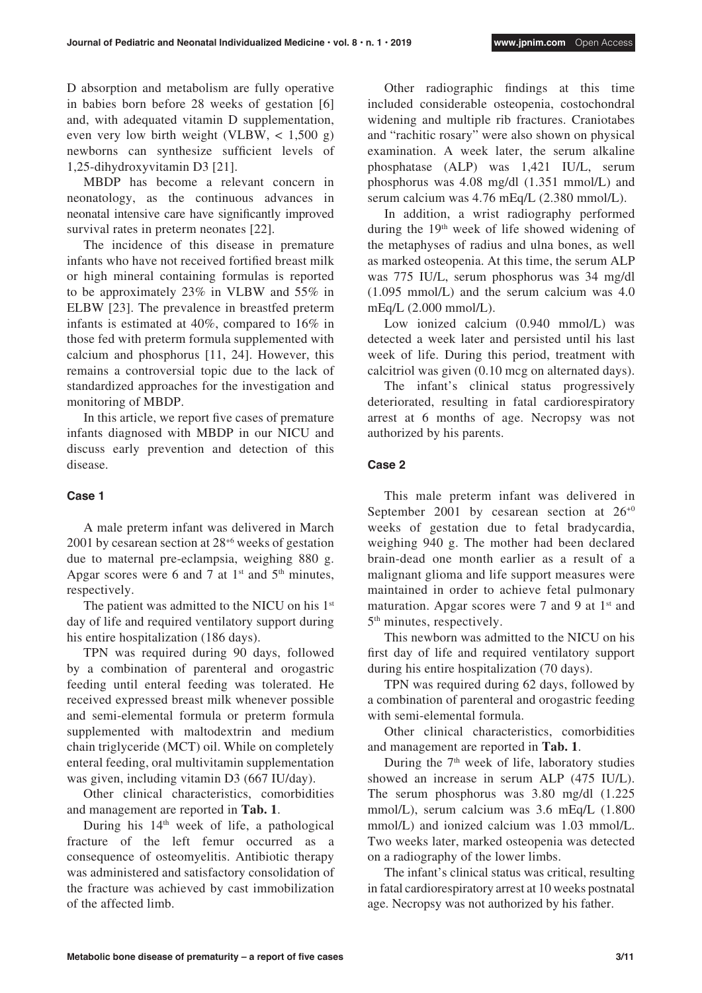D absorption and metabolism are fully operative in babies born before 28 weeks of gestation [6] and, with adequated vitamin D supplementation, even very low birth weight (VLBW,  $\lt$  1,500 g) newborns can synthesize sufficient levels of 1,25-dihydroxyvitamin D3 [21].

MBDP has become a relevant concern in neonatology, as the continuous advances in neonatal intensive care have significantly improved survival rates in preterm neonates [22].

The incidence of this disease in premature infants who have not received fortified breast milk or high mineral containing formulas is reported to be approximately 23% in VLBW and 55% in ELBW [23]. The prevalence in breastfed preterm infants is estimated at 40%, compared to 16% in those fed with preterm formula supplemented with calcium and phosphorus [11, 24]. However, this remains a controversial topic due to the lack of standardized approaches for the investigation and monitoring of MBDP.

In this article, we report five cases of premature infants diagnosed with MBDP in our NICU and discuss early prevention and detection of this disease.

#### **Case 1**

A male preterm infant was delivered in March 2001 by cesarean section at 28+6 weeks of gestation due to maternal pre-eclampsia, weighing 880 g. Apgar scores were 6 and 7 at  $1<sup>st</sup>$  and  $5<sup>th</sup>$  minutes, respectively.

The patient was admitted to the NICU on his 1st day of life and required ventilatory support during his entire hospitalization (186 days).

TPN was required during 90 days, followed by a combination of parenteral and orogastric feeding until enteral feeding was tolerated. He received expressed breast milk whenever possible and semi-elemental formula or preterm formula supplemented with maltodextrin and medium chain triglyceride (MCT) oil. While on completely enteral feeding, oral multivitamin supplementation was given, including vitamin D3 (667 IU/day).

Other clinical characteristics, comorbidities and management are reported in **Tab. 1**.

During his  $14<sup>th</sup>$  week of life, a pathological fracture of the left femur occurred as a consequence of osteomyelitis. Antibiotic therapy was administered and satisfactory consolidation of the fracture was achieved by cast immobilization of the affected limb.

Other radiographic findings at this time included considerable osteopenia, costochondral widening and multiple rib fractures. Craniotabes and "rachitic rosary" were also shown on physical examination. A week later, the serum alkaline phosphatase (ALP) was 1,421 IU/L, serum phosphorus was 4.08 mg/dl (1.351 mmol/L) and serum calcium was 4.76 mEq/L (2.380 mmol/L).

In addition, a wrist radiography performed during the 19th week of life showed widening of the metaphyses of radius and ulna bones, as well as marked osteopenia. At this time, the serum ALP was 775 IU/L, serum phosphorus was 34 mg/dl (1.095 mmol/L) and the serum calcium was 4.0 mEq/L (2.000 mmol/L).

Low ionized calcium (0.940 mmol/L) was detected a week later and persisted until his last week of life. During this period, treatment with calcitriol was given (0.10 mcg on alternated days).

The infant's clinical status progressively deteriorated, resulting in fatal cardiorespiratory arrest at 6 months of age. Necropsy was not authorized by his parents.

## **Case 2**

This male preterm infant was delivered in September 2001 by cesarean section at  $26^{+0}$ weeks of gestation due to fetal bradycardia, weighing 940 g. The mother had been declared brain-dead one month earlier as a result of a malignant glioma and life support measures were maintained in order to achieve fetal pulmonary maturation. Apgar scores were  $7$  and  $9$  at  $1<sup>st</sup>$  and 5th minutes, respectively.

This newborn was admitted to the NICU on his first day of life and required ventilatory support during his entire hospitalization (70 days).

TPN was required during 62 days, followed by a combination of parenteral and orogastric feeding with semi-elemental formula.

Other clinical characteristics, comorbidities and management are reported in **Tab. 1**.

During the  $7<sup>th</sup>$  week of life, laboratory studies showed an increase in serum ALP (475 IU/L). The serum phosphorus was 3.80 mg/dl (1.225 mmol/L), serum calcium was 3.6 mEq/L (1.800 mmol/L) and ionized calcium was 1.03 mmol/L. Two weeks later, marked osteopenia was detected on a radiography of the lower limbs.

The infant's clinical status was critical, resulting in fatal cardiorespiratory arrest at 10 weeks postnatal age. Necropsy was not authorized by his father.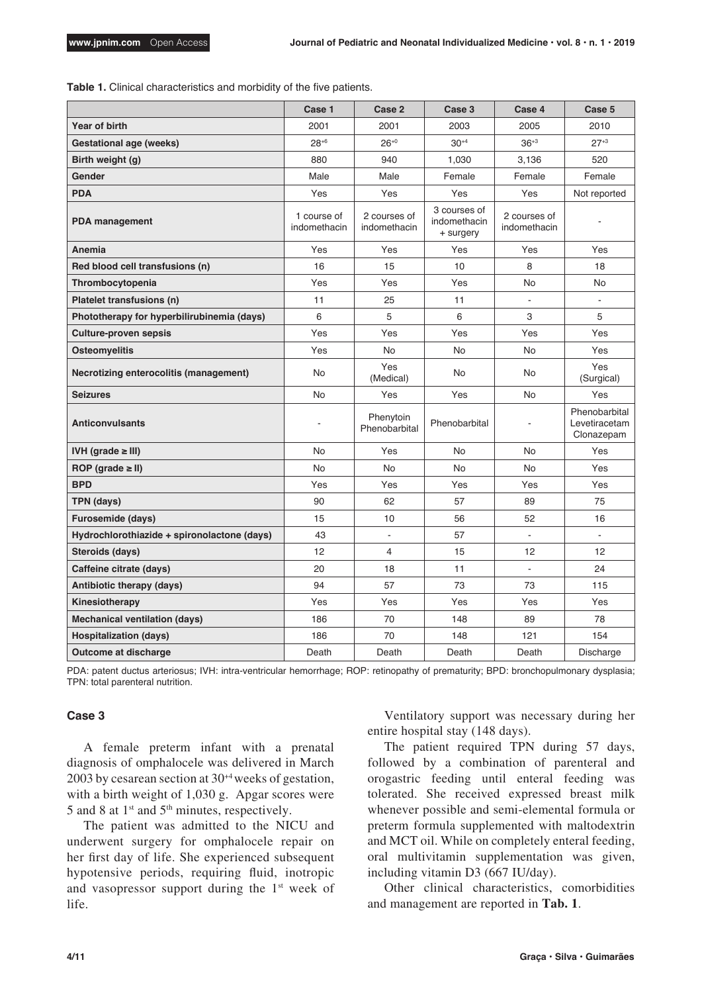**Table 1.** Clinical characteristics and morbidity of the five patients.

|                                             | Case 1                      | Case 2                       | Case 3                                    | Case 4                       | Case 5                                       |
|---------------------------------------------|-----------------------------|------------------------------|-------------------------------------------|------------------------------|----------------------------------------------|
| Year of birth                               | 2001                        | 2001                         | 2003                                      | 2005                         | 2010                                         |
| Gestational age (weeks)                     | $28^{+6}$                   | $26^{+0}$                    | $30^{+4}$                                 | $36^{+3}$                    | $27+3$                                       |
| Birth weight (g)                            | 880                         | 940                          | 1,030                                     | 3,136                        | 520                                          |
| Gender                                      | Male                        | Male                         | Female                                    | Female                       | Female                                       |
| <b>PDA</b>                                  | Yes                         | Yes                          | Yes                                       | Yes                          | Not reported                                 |
| <b>PDA</b> management                       | 1 course of<br>indomethacin | 2 courses of<br>indomethacin | 3 courses of<br>indomethacin<br>+ surgery | 2 courses of<br>indomethacin |                                              |
| Anemia                                      | Yes                         | Yes                          | Yes                                       | Yes                          | Yes                                          |
| Red blood cell transfusions (n)             | 16                          | 15                           | 10                                        | 8                            | 18                                           |
| Thrombocytopenia                            | Yes                         | Yes                          | Yes                                       | No.                          | No.                                          |
| Platelet transfusions (n)                   | 11                          | 25                           | 11                                        | ÷,                           |                                              |
| Phototherapy for hyperbilirubinemia (days)  | 6                           | 5                            | 6                                         | 3                            | 5                                            |
| <b>Culture-proven sepsis</b>                | Yes                         | Yes                          | Yes                                       | Yes                          | Yes                                          |
| <b>Osteomyelitis</b>                        | Yes                         | <b>No</b>                    | <b>No</b>                                 | No                           | Yes                                          |
| Necrotizing enterocolitis (management)      | <b>No</b>                   | Yes<br>(Medical)             | No                                        | No.                          | Yes<br>(Surgical)                            |
| <b>Seizures</b>                             | <b>No</b>                   | Yes                          | Yes                                       | No.                          | Yes                                          |
| <b>Anticonvulsants</b>                      |                             | Phenytoin<br>Phenobarbital   | Phenobarbital                             | $\overline{\phantom{a}}$     | Phenobarbital<br>Levetiracetam<br>Clonazepam |
| IVH (grade $\geq$ III)                      | <b>No</b>                   | Yes                          | No                                        | No                           | Yes                                          |
| ROP (grade $\geq$ II)                       | No                          | <b>No</b>                    | No                                        | <b>No</b>                    | Yes                                          |
| <b>BPD</b>                                  | Yes                         | Yes                          | Yes                                       | Yes                          | Yes                                          |
| <b>TPN (days)</b>                           | 90                          | 62                           | 57                                        | 89                           | 75                                           |
| <b>Furosemide (days)</b>                    | 15                          | 10                           | 56                                        | 52                           | 16                                           |
| Hydrochlorothiazide + spironolactone (days) | 43                          | $\overline{\phantom{a}}$     | 57                                        | ÷,                           |                                              |
| Steroids (days)                             | 12                          | 4                            | 15                                        | 12                           | 12                                           |
| Caffeine citrate (days)                     | 20                          | 18                           | 11                                        | $\blacksquare$               | 24                                           |
| Antibiotic therapy (days)                   | 94                          | 57                           | 73                                        | 73                           | 115                                          |
| Kinesiotherapy                              | Yes                         | Yes                          | Yes                                       | Yes                          | Yes                                          |
| Mechanical ventilation (days)               | 186                         | 70                           | 148                                       | 89                           | 78                                           |
| <b>Hospitalization (days)</b>               | 186                         | 70                           | 148                                       | 121                          | 154                                          |
| Outcome at discharge                        | Death                       | Death                        | Death                                     | Death                        | Discharge                                    |

PDA: patent ductus arteriosus; IVH: intra-ventricular hemorrhage; ROP: retinopathy of prematurity; BPD: bronchopulmonary dysplasia; TPN: total parenteral nutrition.

## **Case 3**

A female preterm infant with a prenatal diagnosis of omphalocele was delivered in March 2003 by cesarean section at 30+4 weeks of gestation, with a birth weight of 1,030 g. Apgar scores were 5 and 8 at  $1<sup>st</sup>$  and  $5<sup>th</sup>$  minutes, respectively.

The patient was admitted to the NICU and underwent surgery for omphalocele repair on her first day of life. She experienced subsequent hypotensive periods, requiring fluid, inotropic and vasopressor support during the 1<sup>st</sup> week of life.

Ventilatory support was necessary during her entire hospital stay (148 days).

The patient required TPN during 57 days, followed by a combination of parenteral and orogastric feeding until enteral feeding was tolerated. She received expressed breast milk whenever possible and semi-elemental formula or preterm formula supplemented with maltodextrin and MCT oil. While on completely enteral feeding, oral multivitamin supplementation was given, including vitamin D3 (667 IU/day).

Other clinical characteristics, comorbidities and management are reported in **Tab. 1**.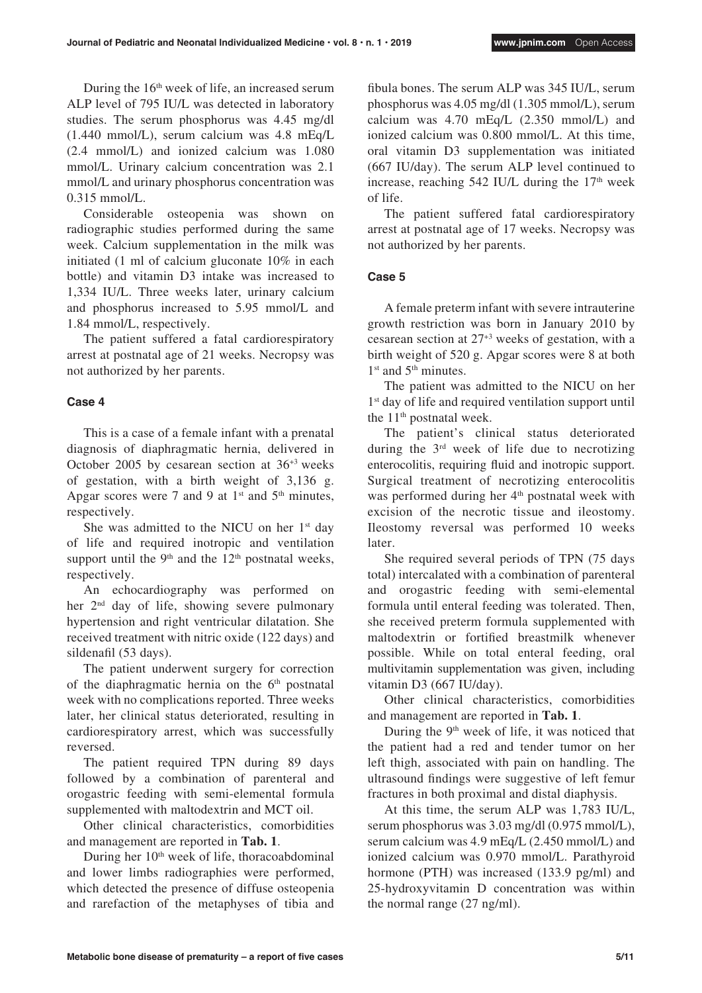During the  $16<sup>th</sup>$  week of life, an increased serum ALP level of 795 IU/L was detected in laboratory studies. The serum phosphorus was 4.45 mg/dl (1.440 mmol/L), serum calcium was 4.8 mEq/L (2.4 mmol/L) and ionized calcium was 1.080 mmol/L. Urinary calcium concentration was 2.1 mmol/L and urinary phosphorus concentration was 0.315 mmol/L.

Considerable osteopenia was shown on radiographic studies performed during the same week. Calcium supplementation in the milk was initiated (1 ml of calcium gluconate 10% in each bottle) and vitamin D3 intake was increased to 1,334 IU/L. Three weeks later, urinary calcium and phosphorus increased to 5.95 mmol/L and 1.84 mmol/L, respectively.

The patient suffered a fatal cardiorespiratory arrest at postnatal age of 21 weeks. Necropsy was not authorized by her parents.

# **Case 4**

This is a case of a female infant with a prenatal diagnosis of diaphragmatic hernia, delivered in October 2005 by cesarean section at 36+3 weeks of gestation, with a birth weight of 3,136 g. Apgar scores were 7 and 9 at  $1<sup>st</sup>$  and  $5<sup>th</sup>$  minutes, respectively.

She was admitted to the NICU on her  $1<sup>st</sup>$  day of life and required inotropic and ventilation support until the  $9<sup>th</sup>$  and the  $12<sup>th</sup>$  postnatal weeks, respectively.

An echocardiography was performed on her 2nd day of life, showing severe pulmonary hypertension and right ventricular dilatation. She received treatment with nitric oxide (122 days) and sildenafil (53 days).

The patient underwent surgery for correction of the diaphragmatic hernia on the  $6<sup>th</sup>$  postnatal week with no complications reported. Three weeks later, her clinical status deteriorated, resulting in cardiorespiratory arrest, which was successfully reversed.

The patient required TPN during 89 days followed by a combination of parenteral and orogastric feeding with semi-elemental formula supplemented with maltodextrin and MCT oil.

Other clinical characteristics, comorbidities and management are reported in **Tab. 1**.

During her 10<sup>th</sup> week of life, thoracoabdominal and lower limbs radiographies were performed, which detected the presence of diffuse osteopenia and rarefaction of the metaphyses of tibia and fibula bones. The serum ALP was 345 IU/L, serum phosphorus was 4.05 mg/dl (1.305 mmol/L), serum calcium was 4.70 mEq/L (2.350 mmol/L) and ionized calcium was 0.800 mmol/L. At this time, oral vitamin D3 supplementation was initiated (667 IU/day). The serum ALP level continued to increase, reaching  $542$  IU/L during the  $17<sup>th</sup>$  week of life.

The patient suffered fatal cardiorespiratory arrest at postnatal age of 17 weeks. Necropsy was not authorized by her parents.

# **Case 5**

A female preterm infant with severe intrauterine growth restriction was born in January 2010 by cesarean section at 27+3 weeks of gestation, with a birth weight of 520 g. Apgar scores were 8 at both  $1<sup>st</sup>$  and  $5<sup>th</sup>$  minutes.

The patient was admitted to the NICU on her 1<sup>st</sup> day of life and required ventilation support until the  $11<sup>th</sup>$  postnatal week.

The patient's clinical status deteriorated during the 3rd week of life due to necrotizing enterocolitis, requiring fluid and inotropic support. Surgical treatment of necrotizing enterocolitis was performed during her 4<sup>th</sup> postnatal week with excision of the necrotic tissue and ileostomy. Ileostomy reversal was performed 10 weeks later.

She required several periods of TPN (75 days total) intercalated with a combination of parenteral and orogastric feeding with semi-elemental formula until enteral feeding was tolerated. Then, she received preterm formula supplemented with maltodextrin or fortified breastmilk whenever possible. While on total enteral feeding, oral multivitamin supplementation was given, including vitamin D3 (667 IU/day).

Other clinical characteristics, comorbidities and management are reported in **Tab. 1**.

During the  $9<sup>th</sup>$  week of life, it was noticed that the patient had a red and tender tumor on her left thigh, associated with pain on handling. The ultrasound findings were suggestive of left femur fractures in both proximal and distal diaphysis.

At this time, the serum ALP was 1,783 IU/L, serum phosphorus was 3.03 mg/dl (0.975 mmol/L), serum calcium was 4.9 mEq/L (2.450 mmol/L) and ionized calcium was 0.970 mmol/L. Parathyroid hormone (PTH) was increased (133.9 pg/ml) and 25-hydroxyvitamin D concentration was within the normal range (27 ng/ml).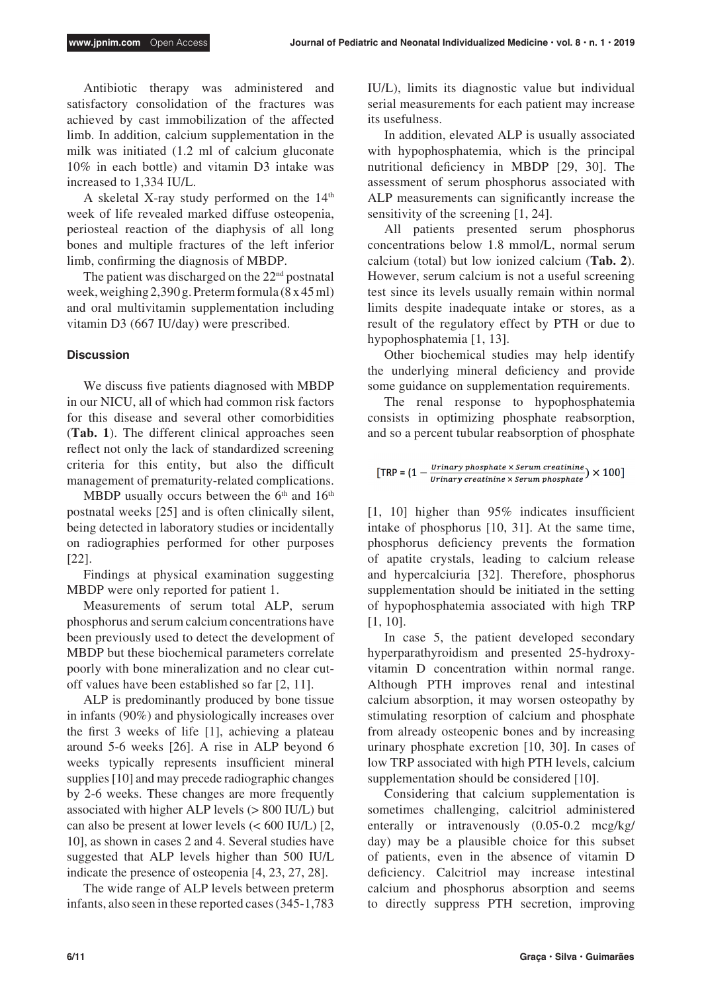Antibiotic therapy was administered and satisfactory consolidation of the fractures was achieved by cast immobilization of the affected limb. In addition, calcium supplementation in the milk was initiated (1.2 ml of calcium gluconate 10% in each bottle) and vitamin D3 intake was increased to 1,334 IU/L.

A skeletal X-ray study performed on the  $14<sup>th</sup>$ week of life revealed marked diffuse osteopenia, periosteal reaction of the diaphysis of all long bones and multiple fractures of the left inferior limb, confirming the diagnosis of MBDP.

The patient was discharged on the  $22<sup>nd</sup>$  postnatal week, weighing 2,390 g. Preterm formula (8 x 45 ml) and oral multivitamin supplementation including vitamin D3 (667 IU/day) were prescribed.

#### **Discussion**

We discuss five patients diagnosed with MBDP in our NICU, all of which had common risk factors for this disease and several other comorbidities (**Tab. 1**). The different clinical approaches seen reflect not only the lack of standardized screening criteria for this entity, but also the difficult management of prematurity-related complications.

MBDP usually occurs between the  $6<sup>th</sup>$  and  $16<sup>th</sup>$ postnatal weeks [25] and is often clinically silent, being detected in laboratory studies or incidentally on radiographies performed for other purposes [22].

Findings at physical examination suggesting MBDP were only reported for patient 1.

Measurements of serum total ALP, serum phosphorus and serum calcium concentrations have been previously used to detect the development of MBDP but these biochemical parameters correlate poorly with bone mineralization and no clear cutoff values have been established so far [2, 11].

ALP is predominantly produced by bone tissue in infants (90%) and physiologically increases over the first 3 weeks of life [1], achieving a plateau around 5-6 weeks [26]. A rise in ALP beyond 6 weeks typically represents insufficient mineral supplies [10] and may precede radiographic changes by 2-6 weeks. These changes are more frequently associated with higher ALP levels (> 800 IU/L) but can also be present at lower levels (< 600 IU/L) [2, 10], as shown in cases 2 and 4. Several studies have suggested that ALP levels higher than 500 IU/L indicate the presence of osteopenia [4, 23, 27, 28].

The wide range of ALP levels between preterm infants, also seen in these reported cases (345-1,783 IU/L), limits its diagnostic value but individual serial measurements for each patient may increase its usefulness.

In addition, elevated ALP is usually associated with hypophosphatemia, which is the principal nutritional deficiency in MBDP [29, 30]. The assessment of serum phosphorus associated with ALP measurements can significantly increase the sensitivity of the screening [1, 24].

All patients presented serum phosphorus concentrations below 1.8 mmol/L, normal serum calcium (total) but low ionized calcium (**Tab. 2**). However, serum calcium is not a useful screening test since its levels usually remain within normal limits despite inadequate intake or stores, as a result of the regulatory effect by PTH or due to hypophosphatemia [1, 13].

Other biochemical studies may help identify the underlying mineral deficiency and provide some guidance on supplementation requirements.

The renal response to hypophosphatemia consists in optimizing phosphate reabsorption, and so a percent tubular reabsorption of phosphate

$$
[\text{TRP} = (1 - \frac{Primary\,phosphate \times serum\,creation}{Urinary\,creation} \times serum\,phaste}) \times 100]
$$

[1, 10] higher than 95% indicates insufficient intake of phosphorus [10, 31]. At the same time, phosphorus deficiency prevents the formation of apatite crystals, leading to calcium release and hypercalciuria [32]. Therefore, phosphorus supplementation should be initiated in the setting of hypophosphatemia associated with high TRP [1, 10].

In case 5, the patient developed secondary hyperparathyroidism and presented 25-hydroxyvitamin D concentration within normal range. Although PTH improves renal and intestinal calcium absorption, it may worsen osteopathy by stimulating resorption of calcium and phosphate from already osteopenic bones and by increasing urinary phosphate excretion [10, 30]. In cases of low TRP associated with high PTH levels, calcium supplementation should be considered [10].

Considering that calcium supplementation is sometimes challenging, calcitriol administered enterally or intravenously (0.05-0.2 mcg/kg/ day) may be a plausible choice for this subset of patients, even in the absence of vitamin D deficiency. Calcitriol may increase intestinal calcium and phosphorus absorption and seems to directly suppress PTH secretion, improving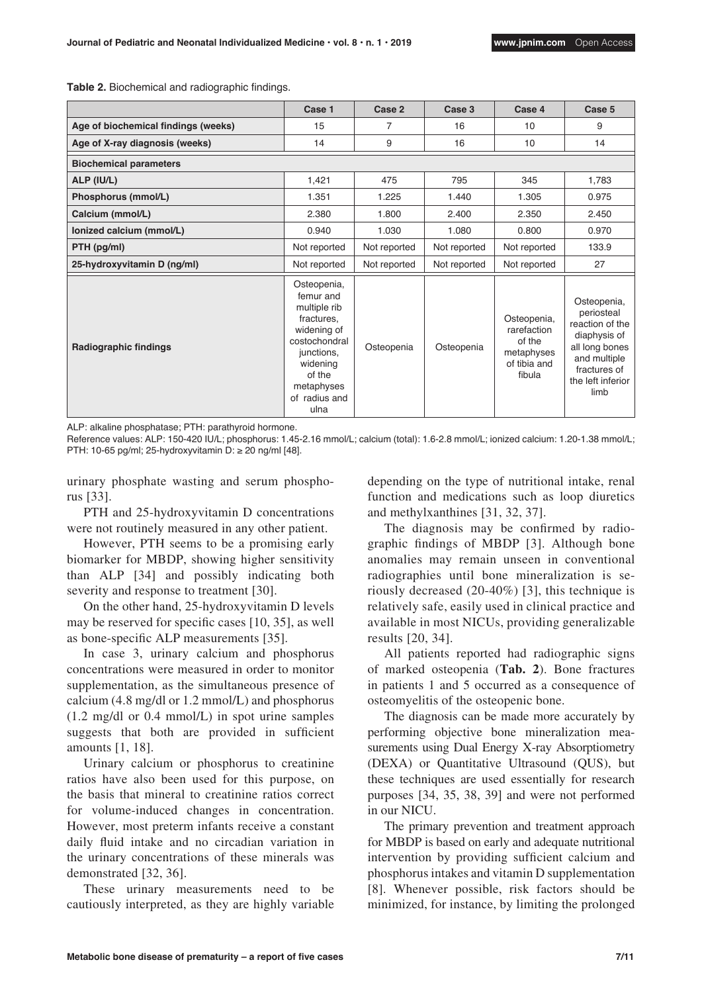| Table 2. Biochemical and radiographic findings. |  |  |
|-------------------------------------------------|--|--|
|-------------------------------------------------|--|--|

|                                     | Case 1                                                                                                                                                            | Case 2       | Case 3       | Case 4                                                                       | Case 5                                                                                                                                      |  |  |  |
|-------------------------------------|-------------------------------------------------------------------------------------------------------------------------------------------------------------------|--------------|--------------|------------------------------------------------------------------------------|---------------------------------------------------------------------------------------------------------------------------------------------|--|--|--|
| Age of biochemical findings (weeks) | 15                                                                                                                                                                | 7            | 16           | 10                                                                           | 9                                                                                                                                           |  |  |  |
| Age of X-ray diagnosis (weeks)      | 14                                                                                                                                                                | 9            | 16           | 10                                                                           | 14                                                                                                                                          |  |  |  |
| <b>Biochemical parameters</b>       |                                                                                                                                                                   |              |              |                                                                              |                                                                                                                                             |  |  |  |
| ALP (IU/L)                          | 1,421                                                                                                                                                             | 475          | 795          | 345                                                                          | 1,783                                                                                                                                       |  |  |  |
| Phosphorus (mmol/L)                 | 1.351                                                                                                                                                             | 1.225        | 1.440        | 1.305                                                                        | 0.975                                                                                                                                       |  |  |  |
| Calcium (mmol/L)                    | 2.380                                                                                                                                                             | 1.800        | 2.400        | 2.350                                                                        | 2.450                                                                                                                                       |  |  |  |
| lonized calcium (mmol/L)            | 0.940                                                                                                                                                             | 1.030        | 1.080        | 0.800                                                                        | 0.970                                                                                                                                       |  |  |  |
| PTH (pg/ml)                         | Not reported                                                                                                                                                      | Not reported | Not reported | Not reported                                                                 | 133.9                                                                                                                                       |  |  |  |
| 25-hydroxyvitamin D (ng/ml)         | Not reported                                                                                                                                                      | Not reported | Not reported | Not reported                                                                 | 27                                                                                                                                          |  |  |  |
| Radiographic findings               | Osteopenia,<br>femur and<br>multiple rib<br>fractures.<br>widening of<br>costochondral<br>junctions,<br>widening<br>of the<br>metaphyses<br>of radius and<br>ulna | Osteopenia   | Osteopenia   | Osteopenia,<br>rarefaction<br>of the<br>metaphyses<br>of tibia and<br>fibula | Osteopenia,<br>periosteal<br>reaction of the<br>diaphysis of<br>all long bones<br>and multiple<br>fractures of<br>the left inferior<br>limb |  |  |  |

ALP: alkaline phosphatase; PTH: parathyroid hormone.

Reference values: ALP: 150-420 IU/L; phosphorus: 1.45-2.16 mmol/L; calcium (total): 1.6-2.8 mmol/L; ionized calcium: 1.20-1.38 mmol/L; PTH: 10-65 pg/ml; 25-hydroxyvitamin D:  $\geq$  20 ng/ml [48].

urinary phosphate wasting and serum phosphorus [33].

PTH and 25-hydroxyvitamin D concentrations were not routinely measured in any other patient.

However, PTH seems to be a promising early biomarker for MBDP, showing higher sensitivity than ALP [34] and possibly indicating both severity and response to treatment [30].

On the other hand, 25-hydroxyvitamin D levels may be reserved for specific cases [10, 35], as well as bone-specific ALP measurements [35].

In case 3, urinary calcium and phosphorus concentrations were measured in order to monitor supplementation, as the simultaneous presence of calcium (4.8 mg/dl or 1.2 mmol/L) and phosphorus (1.2 mg/dl or 0.4 mmol/L) in spot urine samples suggests that both are provided in sufficient amounts [1, 18].

Urinary calcium or phosphorus to creatinine ratios have also been used for this purpose, on the basis that mineral to creatinine ratios correct for volume-induced changes in concentration. However, most preterm infants receive a constant daily fluid intake and no circadian variation in the urinary concentrations of these minerals was demonstrated [32, 36].

These urinary measurements need to be cautiously interpreted, as they are highly variable

depending on the type of nutritional intake, renal function and medications such as loop diuretics and methylxanthines [31, 32, 37].

The diagnosis may be confirmed by radiographic findings of MBDP [3]. Although bone anomalies may remain unseen in conventional radiographies until bone mineralization is seriously decreased (20-40%) [3], this technique is relatively safe, easily used in clinical practice and available in most NICUs, providing generalizable results [20, 34].

All patients reported had radiographic signs of marked osteopenia (**Tab. 2**). Bone fractures in patients 1 and 5 occurred as a consequence of osteomyelitis of the osteopenic bone.

The diagnosis can be made more accurately by performing objective bone mineralization measurements using Dual Energy X-ray Absorptiometry (DEXA) or Quantitative Ultrasound (QUS), but these techniques are used essentially for research purposes [34, 35, 38, 39] and were not performed in our NICU.

The primary prevention and treatment approach for MBDP is based on early and adequate nutritional intervention by providing sufficient calcium and phosphorus intakes and vitamin D supplementation [8]. Whenever possible, risk factors should be minimized, for instance, by limiting the prolonged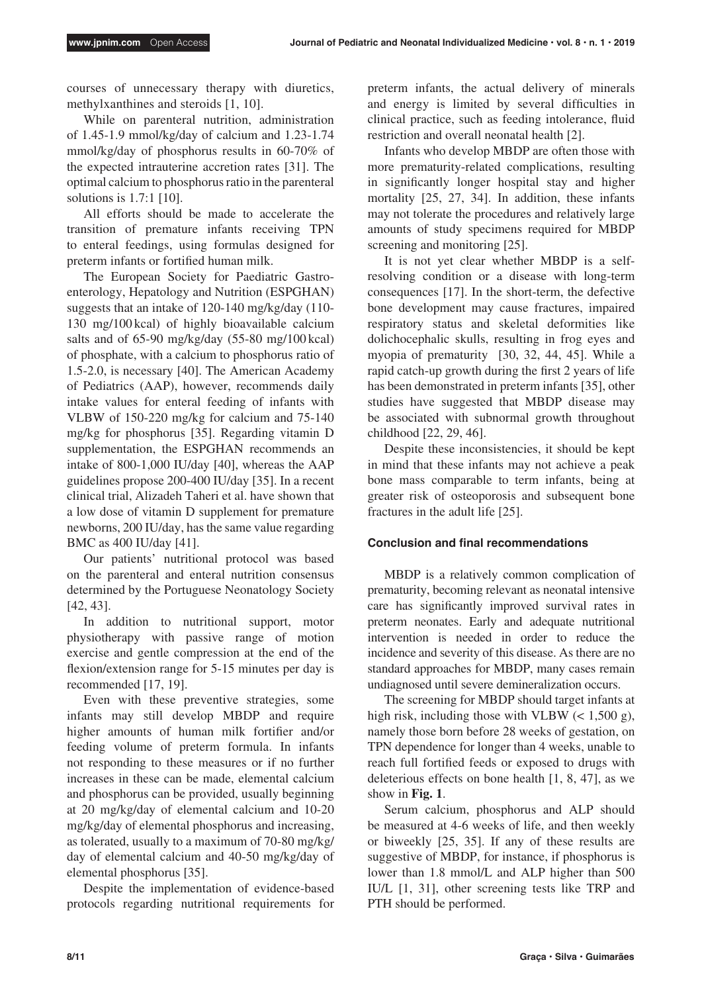courses of unnecessary therapy with diuretics, methylxanthines and steroids [1, 10].

While on parenteral nutrition, administration of 1.45-1.9 mmol/kg/day of calcium and 1.23-1.74 mmol/kg/day of phosphorus results in 60-70% of the expected intrauterine accretion rates [31]. The optimal calcium to phosphorus ratio in the parenteral solutions is 1.7:1 [10].

All efforts should be made to accelerate the transition of premature infants receiving TPN to enteral feedings, using formulas designed for preterm infants or fortified human milk.

The European Society for Paediatric Gastroenterology, Hepatology and Nutrition (ESPGHAN) suggests that an intake of 120-140 mg/kg/day (110- 130 mg/100 kcal) of highly bioavailable calcium salts and of 65-90 mg/kg/day (55-80 mg/100 kcal) of phosphate, with a calcium to phosphorus ratio of 1.5-2.0, is necessary [40]. The American Academy of Pediatrics (AAP), however, recommends daily intake values for enteral feeding of infants with VLBW of 150-220 mg/kg for calcium and 75-140 mg/kg for phosphorus [35]. Regarding vitamin D supplementation, the ESPGHAN recommends an intake of 800-1,000 IU/day [40], whereas the AAP guidelines propose 200-400 IU/day [35]. In a recent clinical trial, Alizadeh Taheri et al. have shown that a low dose of vitamin D supplement for premature newborns, 200 IU/day, has the same value regarding BMC as 400 IU/day [41].

Our patients' nutritional protocol was based on the parenteral and enteral nutrition consensus determined by the Portuguese Neonatology Society [42, 43].

In addition to nutritional support, motor physiotherapy with passive range of motion exercise and gentle compression at the end of the flexion/extension range for 5-15 minutes per day is recommended [17, 19].

Even with these preventive strategies, some infants may still develop MBDP and require higher amounts of human milk fortifier and/or feeding volume of preterm formula. In infants not responding to these measures or if no further increases in these can be made, elemental calcium and phosphorus can be provided, usually beginning at 20 mg/kg/day of elemental calcium and 10-20 mg/kg/day of elemental phosphorus and increasing, as tolerated, usually to a maximum of 70-80 mg/kg/ day of elemental calcium and 40-50 mg/kg/day of elemental phosphorus [35].

Despite the implementation of evidence-based protocols regarding nutritional requirements for preterm infants, the actual delivery of minerals and energy is limited by several difficulties in clinical practice, such as feeding intolerance, fluid restriction and overall neonatal health [2].

Infants who develop MBDP are often those with more prematurity-related complications, resulting in significantly longer hospital stay and higher mortality [25, 27, 34]. In addition, these infants may not tolerate the procedures and relatively large amounts of study specimens required for MBDP screening and monitoring [25].

It is not yet clear whether MBDP is a selfresolving condition or a disease with long-term consequences [17]. In the short-term, the defective bone development may cause fractures, impaired respiratory status and skeletal deformities like dolichocephalic skulls, resulting in frog eyes and myopia of prematurity [30, 32, 44, 45]. While a rapid catch-up growth during the first 2 years of life has been demonstrated in preterm infants [35], other studies have suggested that MBDP disease may be associated with subnormal growth throughout childhood [22, 29, 46].

Despite these inconsistencies, it should be kept in mind that these infants may not achieve a peak bone mass comparable to term infants, being at greater risk of osteoporosis and subsequent bone fractures in the adult life [25].

# **Conclusion and final recommendations**

MBDP is a relatively common complication of prematurity, becoming relevant as neonatal intensive care has significantly improved survival rates in preterm neonates. Early and adequate nutritional intervention is needed in order to reduce the incidence and severity of this disease. As there are no standard approaches for MBDP, many cases remain undiagnosed until severe demineralization occurs.

The screening for MBDP should target infants at high risk, including those with VLBW  $(< 1,500 \text{ g})$ , namely those born before 28 weeks of gestation, on TPN dependence for longer than 4 weeks, unable to reach full fortified feeds or exposed to drugs with deleterious effects on bone health [1, 8, 47], as we show in **Fig. 1**.

Serum calcium, phosphorus and ALP should be measured at 4-6 weeks of life, and then weekly or biweekly [25, 35]. If any of these results are suggestive of MBDP, for instance, if phosphorus is lower than 1.8 mmol/L and ALP higher than 500 IU/L [1, 31], other screening tests like TRP and PTH should be performed.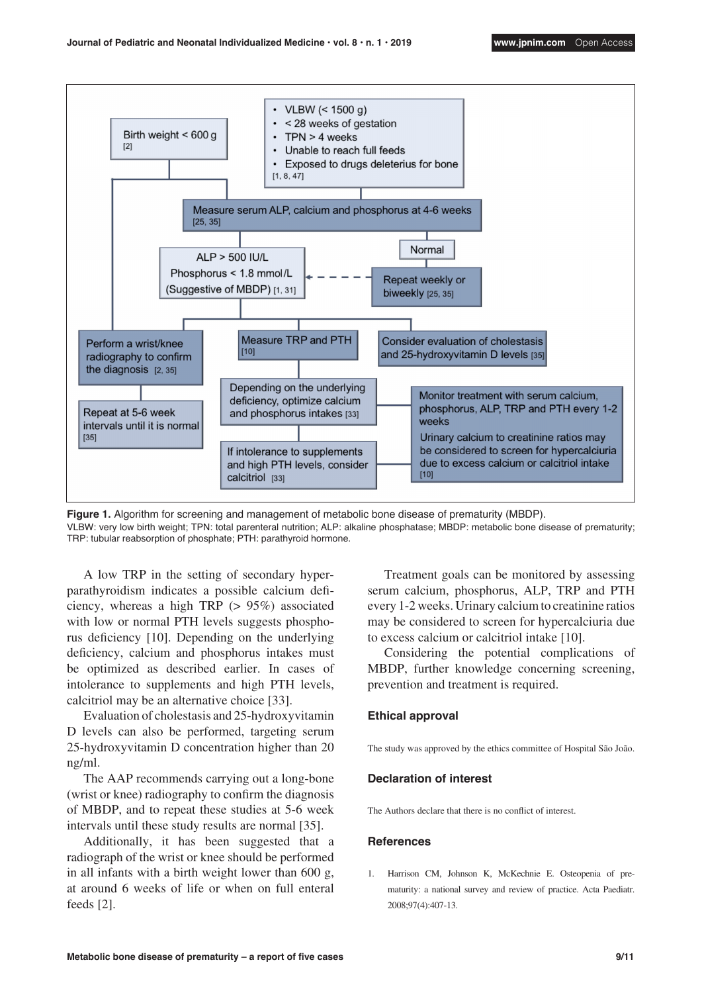

**Figure 1.** Algorithm for screening and management of metabolic bone disease of prematurity (MBDP). VLBW: very low birth weight; TPN: total parenteral nutrition; ALP: alkaline phosphatase; MBDP: metabolic bone disease of prematurity; TRP: tubular reabsorption of phosphate; PTH: parathyroid hormone.

A low TRP in the setting of secondary hyperparathyroidism indicates a possible calcium deficiency, whereas a high TRP (> 95%) associated with low or normal PTH levels suggests phosphorus deficiency [10]. Depending on the underlying deficiency, calcium and phosphorus intakes must be optimized as described earlier. In cases of intolerance to supplements and high PTH levels, calcitriol may be an alternative choice [33].

Evaluation of cholestasis and 25-hydroxyvitamin D levels can also be performed, targeting serum 25-hydroxyvitamin D concentration higher than 20 ng/ml.

The AAP recommends carrying out a long-bone (wrist or knee) radiography to confirm the diagnosis of MBDP, and to repeat these studies at 5-6 week intervals until these study results are normal [35].

Additionally, it has been suggested that a radiograph of the wrist or knee should be performed in all infants with a birth weight lower than 600 g, at around 6 weeks of life or when on full enteral feeds [2].

Treatment goals can be monitored by assessing serum calcium, phosphorus, ALP, TRP and PTH every 1-2 weeks. Urinary calcium to creatinine ratios may be considered to screen for hypercalciuria due to excess calcium or calcitriol intake [10].

Considering the potential complications of MBDP, further knowledge concerning screening, prevention and treatment is required.

#### **Ethical approval**

The study was approved by the ethics committee of Hospital São João.

#### **Declaration of interest**

The Authors declare that there is no conflict of interest.

#### **References**

1. Harrison CM, Johnson K, McKechnie E. Osteopenia of prematurity: a national survey and review of practice. Acta Paediatr. 2008;97(4):407-13.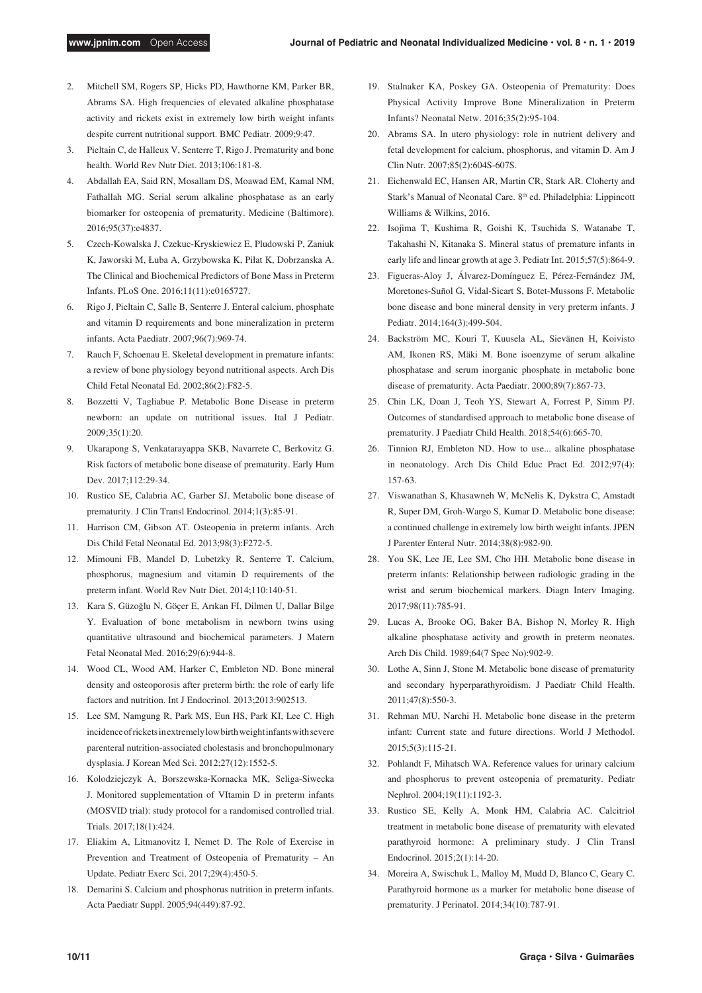- 2. Mitchell SM, Rogers SP, Hicks PD, Hawthorne KM, Parker BR, Abrams SA. High frequencies of elevated alkaline phosphatase activity and rickets exist in extremely low birth weight infants despite current nutritional support. BMC Pediatr. 2009;9:47.
- 3. Pieltain C, de Halleux V, Senterre T, Rigo J. Prematurity and bone health. World Rev Nutr Diet. 2013;106:181-8.
- 4. Abdallah EA, Said RN, Mosallam DS, Moawad EM, Kamal NM, Fathallah MG. Serial serum alkaline phosphatase as an early biomarker for osteopenia of prematurity. Medicine (Baltimore). 2016;95(37):e4837.
- 5. Czech-Kowalska J, Czekuc-Kryskiewicz E, Pludowski P, Zaniuk K, Jaworski M, Łuba A, Grzybowska K, Piłat K, Dobrzanska A. The Clinical and Biochemical Predictors of Bone Mass in Preterm Infants. PLoS One. 2016;11(11):e0165727.
- 6. Rigo J, Pieltain C, Salle B, Senterre J. Enteral calcium, phosphate and vitamin D requirements and bone mineralization in preterm infants. Acta Paediatr. 2007;96(7):969-74.
- 7. Rauch F, Schoenau E. Skeletal development in premature infants: a review of bone physiology beyond nutritional aspects. Arch Dis Child Fetal Neonatal Ed. 2002;86(2):F82-5.
- 8. Bozzetti V, Tagliabue P. Metabolic Bone Disease in preterm newborn: an update on nutritional issues. Ital J Pediatr. 2009;35(1):20.
- 9. Ukarapong S, Venkatarayappa SKB, Navarrete C, Berkovitz G. Risk factors of metabolic bone disease of prematurity. Early Hum Dev. 2017;112:29-34.
- 10. Rustico SE, Calabria AC, Garber SJ. Metabolic bone disease of prematurity. J Clin Transl Endocrinol. 2014;1(3):85-91.
- 11. Harrison CM, Gibson AT. Osteopenia in preterm infants. Arch Dis Child Fetal Neonatal Ed. 2013;98(3):F272-5.
- 12. Mimouni FB, Mandel D, Lubetzky R, Senterre T. Calcium, phosphorus, magnesium and vitamin D requirements of the preterm infant. World Rev Nutr Diet. 2014;110:140-51.
- 13. Kara S, Güzoğlu N, Göçer E, Arıkan FI, Dilmen U, Dallar Bilge Y. Evaluation of bone metabolism in newborn twins using quantitative ultrasound and biochemical parameters. J Matern Fetal Neonatal Med. 2016;29(6):944-8.
- 14. Wood CL, Wood AM, Harker C, Embleton ND. Bone mineral density and osteoporosis after preterm birth: the role of early life factors and nutrition. Int J Endocrinol. 2013;2013:902513.
- 15. Lee SM, Namgung R, Park MS, Eun HS, Park KI, Lee C. High incidence of rickets in extremely low birth weight infants with severe parenteral nutrition-associated cholestasis and bronchopulmonary dysplasia. J Korean Med Sci. 2012;27(12):1552-5.
- 16. Kolodziejczyk A, Borszewska-Kornacka MK, Seliga-Siwecka J. Monitored supplementation of VItamin D in preterm infants (MOSVID trial): study protocol for a randomised controlled trial. Trials. 2017;18(1):424.
- 17. Eliakim A, Litmanovitz I, Nemet D. The Role of Exercise in Prevention and Treatment of Osteopenia of Prematurity – An Update. Pediatr Exerc Sci. 2017;29(4):450-5.
- 18. Demarini S. Calcium and phosphorus nutrition in preterm infants. Acta Paediatr Suppl. 2005;94(449):87-92.
- 19. Stalnaker KA, Poskey GA. Osteopenia of Prematurity: Does Physical Activity Improve Bone Mineralization in Preterm Infants? Neonatal Netw. 2016;35(2):95-104.
- 20. Abrams SA. In utero physiology: role in nutrient delivery and fetal development for calcium, phosphorus, and vitamin D. Am J Clin Nutr. 2007;85(2):604S-607S.
- 21. Eichenwald EC, Hansen AR, Martin CR, Stark AR. Cloherty and Stark's Manual of Neonatal Care. 8<sup>th</sup> ed. Philadelphia: Lippincott Williams & Wilkins, 2016.
- 22. Isojima T, Kushima R, Goishi K, Tsuchida S, Watanabe T, Takahashi N, Kitanaka S. Mineral status of premature infants in early life and linear growth at age 3. Pediatr Int. 2015;57(5):864-9.
- 23. Figueras-Aloy J, Álvarez-Domínguez E, Pérez-Fernández JM, Moretones-Suñol G, Vidal-Sicart S, Botet-Mussons F. Metabolic bone disease and bone mineral density in very preterm infants. J Pediatr. 2014;164(3):499-504.
- 24. Backström MC, Kouri T, Kuusela AL, Sievänen H, Koivisto AM, Ikonen RS, Mäki M. Bone isoenzyme of serum alkaline phosphatase and serum inorganic phosphate in metabolic bone disease of prematurity. Acta Paediatr. 2000;89(7):867-73.
- 25. Chin LK, Doan J, Teoh YS, Stewart A, Forrest P, Simm PJ. Outcomes of standardised approach to metabolic bone disease of prematurity. J Paediatr Child Health. 2018;54(6):665-70.
- 26. Tinnion RJ, Embleton ND. How to use... alkaline phosphatase in neonatology. Arch Dis Child Educ Pract Ed. 2012;97(4): 157-63.
- 27. Viswanathan S, Khasawneh W, McNelis K, Dykstra C, Amstadt R, Super DM, Groh-Wargo S, Kumar D. Metabolic bone disease: a continued challenge in extremely low birth weight infants. JPEN J Parenter Enteral Nutr. 2014;38(8):982-90.
- 28. You SK, Lee JE, Lee SM, Cho HH. Metabolic bone disease in preterm infants: Relationship between radiologic grading in the wrist and serum biochemical markers. Diagn Interv Imaging. 2017;98(11):785-91.
- 29. Lucas A, Brooke OG, Baker BA, Bishop N, Morley R. High alkaline phosphatase activity and growth in preterm neonates. Arch Dis Child. 1989;64(7 Spec No):902-9.
- 30. Lothe A, Sinn J, Stone M. Metabolic bone disease of prematurity and secondary hyperparathyroidism. J Paediatr Child Health. 2011;47(8):550-3.
- 31. Rehman MU, Narchi H. Metabolic bone disease in the preterm infant: Current state and future directions. World J Methodol. 2015;5(3):115-21.
- 32. Pohlandt F, Mihatsch WA. Reference values for urinary calcium and phosphorus to prevent osteopenia of prematurity. Pediatr Nephrol. 2004;19(11):1192-3.
- 33. Rustico SE, Kelly A, Monk HM, Calabria AC. Calcitriol treatment in metabolic bone disease of prematurity with elevated parathyroid hormone: A preliminary study. J Clin Transl Endocrinol. 2015;2(1):14-20.
- 34. Moreira A, Swischuk L, Malloy M, Mudd D, Blanco C, Geary C. Parathyroid hormone as a marker for metabolic bone disease of prematurity. J Perinatol. 2014;34(10):787-91.